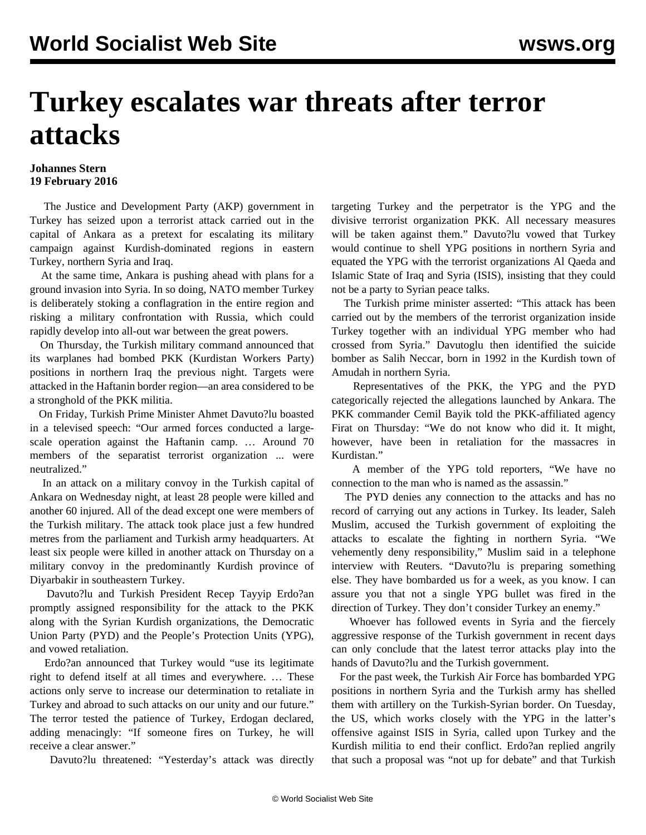## **Turkey escalates war threats after terror attacks**

## **Johannes Stern 19 February 2016**

 The Justice and Development Party (AKP) government in Turkey has seized upon a terrorist attack carried out in the capital of Ankara as a pretext for escalating its military campaign against Kurdish-dominated regions in eastern Turkey, northern Syria and Iraq.

 At the same time, Ankara is pushing ahead with plans for a ground invasion into Syria. In so doing, NATO member Turkey is deliberately stoking a conflagration in the entire region and risking a military confrontation with Russia, which could rapidly develop into all-out war between the great powers.

 On Thursday, the Turkish military command announced that its warplanes had bombed PKK (Kurdistan Workers Party) positions in northern Iraq the previous night. Targets were attacked in the Haftanin border region—an area considered to be a stronghold of the PKK militia.

 On Friday, Turkish Prime Minister Ahmet Davuto?lu boasted in a televised speech: "Our armed forces conducted a largescale operation against the Haftanin camp. … Around 70 members of the separatist terrorist organization ... were neutralized."

 In an attack on a military convoy in the Turkish capital of Ankara on Wednesday night, at least 28 people were killed and another 60 injured. All of the dead except one were members of the Turkish military. The attack took place just a few hundred metres from the parliament and Turkish army headquarters. At least six people were killed in another attack on Thursday on a military convoy in the predominantly Kurdish province of Diyarbakir in southeastern Turkey.

 Davuto?lu and Turkish President Recep Tayyip Erdo?an promptly assigned responsibility for the attack to the PKK along with the Syrian Kurdish organizations, the Democratic Union Party (PYD) and the People's Protection Units (YPG), and vowed retaliation.

 Erdo?an announced that Turkey would "use its legitimate right to defend itself at all times and everywhere. … These actions only serve to increase our determination to retaliate in Turkey and abroad to such attacks on our unity and our future." The terror tested the patience of Turkey, Erdogan declared, adding menacingly: "If someone fires on Turkey, he will receive a clear answer."

Davuto?lu threatened: "Yesterday's attack was directly

targeting Turkey and the perpetrator is the YPG and the divisive terrorist organization PKK. All necessary measures will be taken against them." Davuto?lu vowed that Turkey would continue to shell YPG positions in northern Syria and equated the YPG with the terrorist organizations Al Qaeda and Islamic State of Iraq and Syria (ISIS), insisting that they could not be a party to Syrian peace talks.

 The Turkish prime minister asserted: "This attack has been carried out by the members of the terrorist organization inside Turkey together with an individual YPG member who had crossed from Syria." Davutoglu then identified the suicide bomber as Salih Neccar, born in 1992 in the Kurdish town of Amudah in northern Syria.

 Representatives of the PKK, the YPG and the PYD categorically rejected the allegations launched by Ankara. The PKK commander Cemil Bayik told the PKK-affiliated agency Firat on Thursday: "We do not know who did it. It might, however, have been in retaliation for the massacres in Kurdistan."

 A member of the YPG told reporters, "We have no connection to the man who is named as the assassin."

 The PYD denies any connection to the attacks and has no record of carrying out any actions in Turkey. Its leader, Saleh Muslim, accused the Turkish government of exploiting the attacks to escalate the fighting in northern Syria. "We vehemently deny responsibility," Muslim said in a telephone interview with Reuters. "Davuto?lu is preparing something else. They have bombarded us for a week, as you know. I can assure you that not a single YPG bullet was fired in the direction of Turkey. They don't consider Turkey an enemy."

 Whoever has followed events in Syria and the fiercely aggressive response of the Turkish government in recent days can only conclude that the latest terror attacks play into the hands of Davuto?lu and the Turkish government.

 For the past week, the Turkish Air Force has bombarded YPG positions in northern Syria and the Turkish army has shelled them with artillery on the Turkish-Syrian border. On Tuesday, the US, which works closely with the YPG in the latter's offensive against ISIS in Syria, called upon Turkey and the Kurdish militia to end their conflict. Erdo?an replied angrily that such a proposal was "not up for debate" and that Turkish